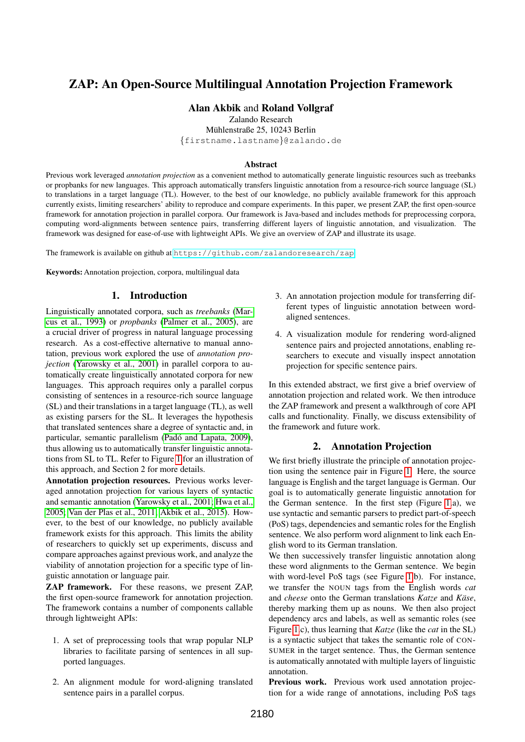# ZAP: An Open-Source Multilingual Annotation Projection Framework

## Alan Akbik and Roland Vollgraf

Zalando Research

Mühlenstraße 25, 10243 Berlin

{firstname.lastname}@zalando.de

#### Abstract

Previous work leveraged *annotation projection* as a convenient method to automatically generate linguistic resources such as treebanks or propbanks for new languages. This approach automatically transfers linguistic annotation from a resource-rich source language (SL) to translations in a target language (TL). However, to the best of our knowledge, no publicly available framework for this approach currently exists, limiting researchers' ability to reproduce and compare experiments. In this paper, we present ZAP, the first open-source framework for annotation projection in parallel corpora. Our framework is Java-based and includes methods for preprocessing corpora, computing word-alignments between sentence pairs, transferring different layers of linguistic annotation, and visualization. The framework was designed for ease-of-use with lightweight APIs. We give an overview of ZAP and illustrate its usage.

The framework is available on github at <https://github.com/zalandoresearch/zap>

Keywords: Annotation projection, corpora, multilingual data

## 1. Introduction

Linguistically annotated corpora, such as *treebanks* [\(Mar](#page-3-0)[cus et al., 1993\)](#page-3-0) or *propbanks* [\(Palmer et al., 2005\)](#page-3-1), are a crucial driver of progress in natural language processing research. As a cost-effective alternative to manual annotation, previous work explored the use of *annotation projection* [\(Yarowsky et al., 2001\)](#page-4-0) in parallel corpora to automatically create linguistically annotated corpora for new languages. This approach requires only a parallel corpus consisting of sentences in a resource-rich source language (SL) and their translations in a target language (TL), as well as existing parsers for the SL. It leverages the hypothesis that translated sentences share a degree of syntactic and, in particular, semantic parallelism (Padó and Lapata, 2009), thus allowing us to automatically transfer linguistic annotations from SL to TL. Refer to Figure [1](#page-1-0) for an illustration of this approach, and Section 2 for more details.

Annotation projection resources. Previous works leveraged annotation projection for various layers of syntactic and semantic annotation [\(Yarowsky et al., 2001;](#page-4-0) [Hwa et al.,](#page-3-3) [2005;](#page-3-3) [Van der Plas et al., 2011;](#page-3-4) [Akbik et al., 2015\)](#page-3-5). However, to the best of our knowledge, no publicly available framework exists for this approach. This limits the ability of researchers to quickly set up experiments, discuss and compare approaches against previous work, and analyze the viability of annotation projection for a specific type of linguistic annotation or language pair.

ZAP framework. For these reasons, we present ZAP, the first open-source framework for annotation projection. The framework contains a number of components callable through lightweight APIs:

- 1. A set of preprocessing tools that wrap popular NLP libraries to facilitate parsing of sentences in all supported languages.
- 2. An alignment module for word-aligning translated sentence pairs in a parallel corpus.
- 3. An annotation projection module for transferring different types of linguistic annotation between wordaligned sentences.
- 4. A visualization module for rendering word-aligned sentence pairs and projected annotations, enabling researchers to execute and visually inspect annotation projection for specific sentence pairs.

In this extended abstract, we first give a brief overview of annotation projection and related work. We then introduce the ZAP framework and present a walkthrough of core API calls and functionality. Finally, we discuss extensibility of the framework and future work.

## 2. Annotation Projection

We first briefly illustrate the principle of annotation projection using the sentence pair in Figure [1.](#page-1-0) Here, the source language is English and the target language is German. Our goal is to automatically generate linguistic annotation for the German sentence. In the first step (Figure [1.](#page-1-0)a), we use syntactic and semantic parsers to predict part-of-speech (PoS) tags, dependencies and semantic roles for the English sentence. We also perform word alignment to link each English word to its German translation.

We then successively transfer linguistic annotation along these word alignments to the German sentence. We begin with word-level PoS tags (see Figure [1.](#page-1-0)b). For instance, we transfer the NOUN tags from the English words *cat* and *cheese* onto the German translations *Katze* and *Käse*, thereby marking them up as nouns. We then also project dependency arcs and labels, as well as semantic roles (see Figure [1.](#page-1-0)c), thus learning that *Katze* (like the *cat* in the SL) is a syntactic subject that takes the semantic role of CON-SUMER in the target sentence. Thus, the German sentence is automatically annotated with multiple layers of linguistic annotation.

Previous work. Previous work used annotation projection for a wide range of annotations, including PoS tags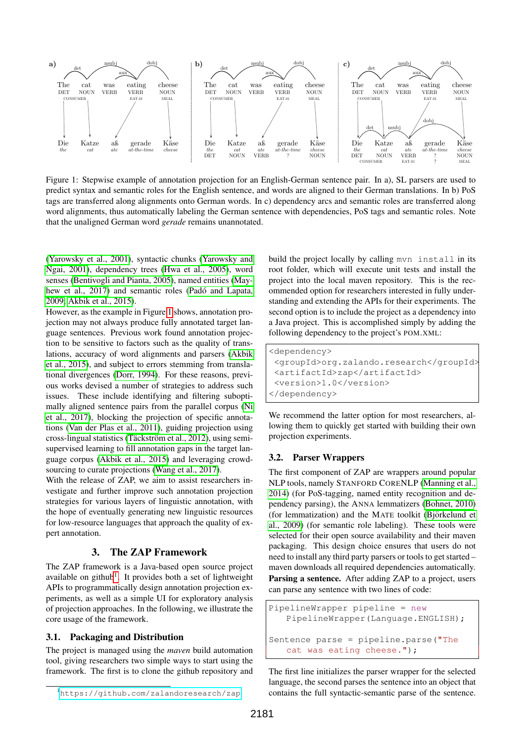

<span id="page-1-0"></span>Figure 1: Stepwise example of annotation projection for an English-German sentence pair. In a), SL parsers are used to predict syntax and semantic roles for the English sentence, and words are aligned to their German translations. In b) PoS tags are transferred along alignments onto German words. In c) dependency arcs and semantic roles are transferred along word alignments, thus automatically labeling the German sentence with dependencies, PoS tags and semantic roles. Note that the unaligned German word *gerade* remains unannotated.

[\(Yarowsky et al., 2001\)](#page-4-0), syntactic chunks [\(Yarowsky and](#page-3-6) [Ngai, 2001\)](#page-3-6), dependency trees [\(Hwa et al., 2005\)](#page-3-3), word senses [\(Bentivogli and Pianta, 2005\)](#page-3-7), named entities [\(May](#page-3-8)[hew et al., 2017\)](#page-3-8) and semantic roles (Padó and Lapata, [2009;](#page-3-2) [Akbik et al., 2015\)](#page-3-5).

However, as the example in Figure [1](#page-1-0) shows, annotation projection may not always produce fully annotated target language sentences. Previous work found annotation projection to be sensitive to factors such as the quality of translations, accuracy of word alignments and parsers [\(Akbik](#page-3-5) [et al., 2015\)](#page-3-5), and subject to errors stemming from translational divergences [\(Dorr, 1994\)](#page-3-9). For these reasons, previous works devised a number of strategies to address such issues. These include identifying and filtering suboptimally aligned sentence pairs from the parallel corpus [\(Ni](#page-3-10) [et al., 2017\)](#page-3-10), blocking the projection of specific annotations [\(Van der Plas et al., 2011\)](#page-3-4), guiding projection using cross-lingual statistics (Täckström et al., 2012), using semisupervised learning to fill annotation gaps in the target language corpus [\(Akbik et al., 2015\)](#page-3-5) and leveraging crowd-sourcing to curate projections [\(Wang et al., 2017\)](#page-3-12).

With the release of ZAP, we aim to assist researchers investigate and further improve such annotation projection strategies for various layers of linguistic annotation, with the hope of eventually generating new linguistic resources for low-resource languages that approach the quality of expert annotation.

## 3. The ZAP Framework

The ZAP framework is a Java-based open source project available on github<sup>[1](#page-1-1)</sup>. It provides both a set of lightweight APIs to programmatically design annotation projection experiments, as well as a simple UI for exploratory analysis of projection approaches. In the following, we illustrate the core usage of the framework.

#### 3.1. Packaging and Distribution

The project is managed using the *maven* build automation tool, giving researchers two simple ways to start using the framework. The first is to clone the github repository and build the project locally by calling mvn install in its root folder, which will execute unit tests and install the project into the local maven repository. This is the recommended option for researchers interested in fully understanding and extending the APIs for their experiments. The second option is to include the project as a dependency into a Java project. This is accomplished simply by adding the following dependency to the project's POM.XML:

```
<dependency>
 <groupId>org.zalando.research</groupId>
 <artifactId>zap</artifactId>
 <version>1.0</version>
</dependency>
```
We recommend the latter option for most researchers, allowing them to quickly get started with building their own projection experiments.

#### 3.2. Parser Wrappers

The first component of ZAP are wrappers around popular NLP tools, namely STANFORD CORENLP [\(Manning et al.,](#page-3-13) [2014\)](#page-3-13) (for PoS-tagging, named entity recognition and dependency parsing), the ANNA lemmatizers [\(Bohnet, 2010\)](#page-3-14) (for lemmatization) and the MATE toolkit (Björkelund et [al., 2009\)](#page-3-15) (for semantic role labeling). These tools were selected for their open source availability and their maven packaging. This design choice ensures that users do not need to install any third party parsers or tools to get started – maven downloads all required dependencies automatically. Parsing a sentence. After adding ZAP to a project, users can parse any sentence with two lines of code:

```
PipelineWrapper pipeline = new
   PipelineWrapper(Language.ENGLISH);
```

```
Sentence parse = pipeline.parse("The
   cat was eating cheese.");
```
The first line initializes the parser wrapper for the selected language, the second parses the sentence into an object that contains the full syntactic-semantic parse of the sentence.

<span id="page-1-1"></span><sup>1</sup><https://github.com/zalandoresearch/zap>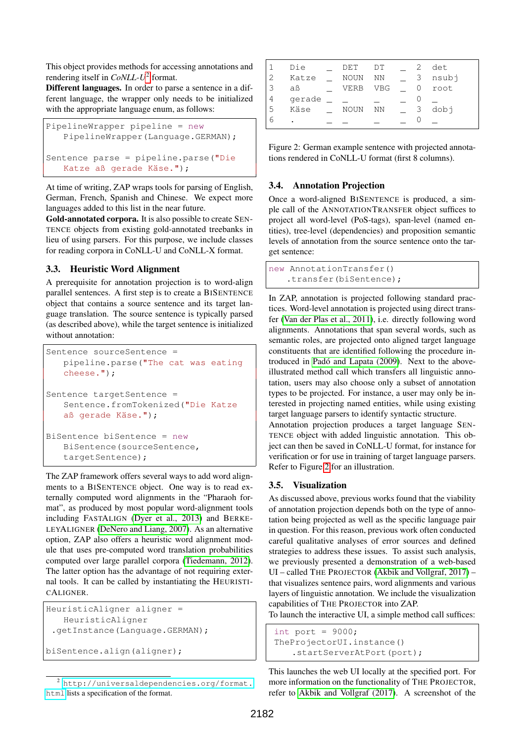This object provides methods for accessing annotations and rendering itself in *CoNLL-U*[2](#page-2-0) format.

Different languages. In order to parse a sentence in a different language, the wrapper only needs to be initialized with the appropriate language enum, as follows:

```
PipelineWrapper pipeline = new
   PipelineWrapper(Language.GERMAN);
Sentence parse = pipeline.parse("Die
   Katze aß gerade Käse.");
```
At time of writing, ZAP wraps tools for parsing of English, German, French, Spanish and Chinese. We expect more languages added to this list in the near future.

Gold-annotated corpora. It is also possible to create SEN-TENCE objects from existing gold-annotated treebanks in lieu of using parsers. For this purpose, we include classes for reading corpora in CoNLL-U and CoNLL-X format.

## 3.3. Heuristic Word Alignment

A prerequisite for annotation projection is to word-align parallel sentences. A first step is to create a BISENTENCE object that contains a source sentence and its target language translation. The source sentence is typically parsed (as described above), while the target sentence is initialized without annotation:

```
Sentence sourceSentence =
   pipeline.parse("The cat was eating
   cheese.");
Sentence targetSentence =
   Sentence.fromTokenized("Die Katze
   aß gerade Käse.");
BiSentence biSentence = new
   BiSentence(sourceSentence,
   targetSentence);
```
The ZAP framework offers several ways to add word alignments to a BISENTENCE object. One way is to read externally computed word alignments in the "Pharaoh format", as produced by most popular word-alignment tools including FASTALIGN [\(Dyer et al., 2013\)](#page-3-16) and BERKE-LEYALIGNER [\(DeNero and Liang, 2007\)](#page-3-17). As an alternative option, ZAP also offers a heuristic word alignment module that uses pre-computed word translation probabilities computed over large parallel corpora [\(Tiedemann, 2012\)](#page-3-18). The latter option has the advantage of not requiring external tools. It can be called by instantiating the HEURISTI-CALIGNER.

```
HeuristicAligner aligner =
   HeuristicAligner
 .getInstance(Language.GERMAN);
```

```
biSentence.align(aligner);
```

```
2 http://universaldependencies.org/format.
html lists a specification of the format.
```

|    | Die    | DET         | DT  | 2. | det   |
|----|--------|-------------|-----|----|-------|
| 2  | Katze  | <b>NOUN</b> | ΝN  | 3  | nsubj |
| 3  | aß     | VERB        | VBG | 0  | root  |
| 4  | gerade |             |     |    |       |
| .5 | Käse   | <b>NOUN</b> | ΝN  | 3  | dobj  |
| 6  | ٠      |             |     |    |       |
|    |        |             |     |    |       |

<span id="page-2-1"></span>Figure 2: German example sentence with projected annotations rendered in CoNLL-U format (first 8 columns).

## 3.4. Annotation Projection

Once a word-aligned BISENTENCE is produced, a simple call of the ANNOTATIONTRANSFER object suffices to project all word-level (PoS-tags), span-level (named entities), tree-level (dependencies) and proposition semantic levels of annotation from the source sentence onto the target sentence:

```
new AnnotationTransfer()
   .transfer(biSentence);
```
In ZAP, annotation is projected following standard practices. Word-level annotation is projected using direct transfer [\(Van der Plas et al., 2011\)](#page-3-4), i.e. directly following word alignments. Annotations that span several words, such as semantic roles, are projected onto aligned target language constituents that are identified following the procedure introduced in Padó and Lapata (2009). Next to the aboveillustrated method call which transfers all linguistic annotation, users may also choose only a subset of annotation types to be projected. For instance, a user may only be interested in projecting named entities, while using existing target language parsers to identify syntactic structure.

Annotation projection produces a target language SEN-TENCE object with added linguistic annotation. This object can then be saved in CoNLL-U format, for instance for verification or for use in training of target language parsers. Refer to Figure [2](#page-2-1) for an illustration.

## 3.5. Visualization

As discussed above, previous works found that the viability of annotation projection depends both on the type of annotation being projected as well as the specific language pair in question. For this reason, previous work often conducted careful qualitative analyses of error sources and defined strategies to address these issues. To assist such analysis, we previously presented a demonstration of a web-based UI – called THE PROJECTOR [\(Akbik and Vollgraf, 2017\)](#page-3-19) – that visualizes sentence pairs, word alignments and various layers of linguistic annotation. We include the visualization capabilities of THE PROJECTOR into ZAP.

To launch the interactive UI, a simple method call suffices:

```
int port = 9000;
TheProjectorUI.instance()
   .startServerAtPort(port);
```
This launches the web UI locally at the specified port. For more information on the functionality of THE PROJECTOR, refer to [Akbik and Vollgraf \(2017\)](#page-3-19). A screenshot of the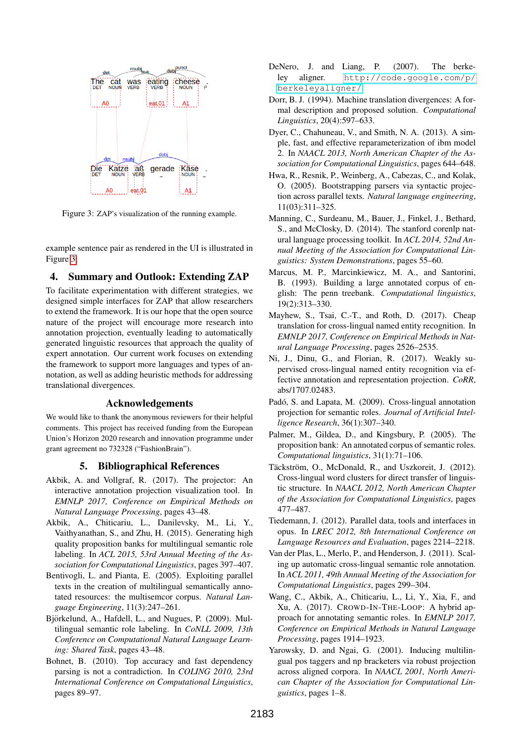

<span id="page-3-20"></span>Figure 3: ZAP's visualization of the running example.

example sentence pair as rendered in the UI is illustrated in Figure [3.](#page-3-20)

## 4. Summary and Outlook: Extending ZAP

To facilitate experimentation with different strategies, we designed simple interfaces for ZAP that allow researchers to extend the framework. It is our hope that the open source nature of the project will encourage more research into annotation projection, eventually leading to automatically generated linguistic resources that approach the quality of expert annotation. Our current work focuses on extending the framework to support more languages and types of annotation, as well as adding heuristic methods for addressing translational divergences.

#### Acknowledgements

We would like to thank the anonymous reviewers for their helpful comments. This project has received funding from the European Union's Horizon 2020 research and innovation programme under grant agreement no 732328 ("FashionBrain").

#### 5. Bibliographical References

- <span id="page-3-19"></span>Akbik, A. and Vollgraf, R. (2017). The projector: An interactive annotation projection visualization tool. In *EMNLP 2017, Conference on Empirical Methods on Natural Language Processing*, pages 43–48.
- <span id="page-3-5"></span>Akbik, A., Chiticariu, L., Danilevsky, M., Li, Y., Vaithyanathan, S., and Zhu, H. (2015). Generating high quality proposition banks for multilingual semantic role labeling. In *ACL 2015, 53rd Annual Meeting of the Association for Computational Linguistics*, pages 397–407.
- <span id="page-3-7"></span>Bentivogli, L. and Pianta, E. (2005). Exploiting parallel texts in the creation of multilingual semantically annotated resources: the multisemcor corpus. *Natural Language Engineering*, 11(3):247–261.
- <span id="page-3-15"></span>Björkelund, A., Hafdell, L., and Nugues, P. (2009). Multilingual semantic role labeling. In *CoNLL 2009, 13th Conference on Computational Natural Language Learning: Shared Task*, pages 43–48.
- <span id="page-3-14"></span>Bohnet, B. (2010). Top accuracy and fast dependency parsing is not a contradiction. In *COLING 2010, 23rd International Conference on Computational Linguistics*, pages 89–97.
- <span id="page-3-17"></span>DeNero, J. and Liang, P. (2007). The berkeley aligner. [http://code.google.com/p/](http://code.google.com/p/berkeleyaligner/) [berkeleyaligner/](http://code.google.com/p/berkeleyaligner/).
- <span id="page-3-9"></span>Dorr, B. J. (1994). Machine translation divergences: A formal description and proposed solution. *Computational Linguistics*, 20(4):597–633.
- <span id="page-3-16"></span>Dyer, C., Chahuneau, V., and Smith, N. A. (2013). A simple, fast, and effective reparameterization of ibm model 2. In *NAACL 2013, North American Chapter of the Association for Computational Linguistics*, pages 644–648.
- <span id="page-3-3"></span>Hwa, R., Resnik, P., Weinberg, A., Cabezas, C., and Kolak, O. (2005). Bootstrapping parsers via syntactic projection across parallel texts. *Natural language engineering*, 11(03):311–325.
- <span id="page-3-13"></span>Manning, C., Surdeanu, M., Bauer, J., Finkel, J., Bethard, S., and McClosky, D. (2014). The stanford corenlp natural language processing toolkit. In *ACL 2014, 52nd Annual Meeting of the Association for Computational Linguistics: System Demonstrations*, pages 55–60.
- <span id="page-3-0"></span>Marcus, M. P., Marcinkiewicz, M. A., and Santorini, B. (1993). Building a large annotated corpus of english: The penn treebank. *Computational linguistics*, 19(2):313–330.
- <span id="page-3-8"></span>Mayhew, S., Tsai, C.-T., and Roth, D. (2017). Cheap translation for cross-lingual named entity recognition. In *EMNLP 2017, Conference on Empirical Methods in Natural Language Processing*, pages 2526–2535.
- <span id="page-3-10"></span>Ni, J., Dinu, G., and Florian, R. (2017). Weakly supervised cross-lingual named entity recognition via effective annotation and representation projection. *CoRR*, abs/1707.02483.
- <span id="page-3-2"></span>Padó, S. and Lapata, M. (2009). Cross-lingual annotation projection for semantic roles. *Journal of Artificial Intelligence Research*, 36(1):307–340.
- <span id="page-3-1"></span>Palmer, M., Gildea, D., and Kingsbury, P. (2005). The proposition bank: An annotated corpus of semantic roles. *Computational linguistics*, 31(1):71–106.
- <span id="page-3-11"></span>Täckström, O., McDonald, R., and Uszkoreit, J. (2012). Cross-lingual word clusters for direct transfer of linguistic structure. In *NAACL 2012, North American Chapter of the Association for Computational Linguistics*, pages 477–487.
- <span id="page-3-18"></span>Tiedemann, J. (2012). Parallel data, tools and interfaces in opus. In *LREC 2012, 8th International Conference on Language Resources and Evaluation*, pages 2214–2218.
- <span id="page-3-4"></span>Van der Plas, L., Merlo, P., and Henderson, J. (2011). Scaling up automatic cross-lingual semantic role annotation. In *ACL 2011, 49th Annual Meeting of the Association for Computational Linguistics*, pages 299–304.
- <span id="page-3-12"></span>Wang, C., Akbik, A., Chiticariu, L., Li, Y., Xia, F., and Xu, A. (2017). CROWD-IN-THE-LOOP: A hybrid approach for annotating semantic roles. In *EMNLP 2017, Conference on Empirical Methods in Natural Language Processing*, pages 1914–1923.
- <span id="page-3-6"></span>Yarowsky, D. and Ngai, G. (2001). Inducing multilingual pos taggers and np bracketers via robust projection across aligned corpora. In *NAACL 2001, North American Chapter of the Association for Computational Linguistics*, pages 1–8.